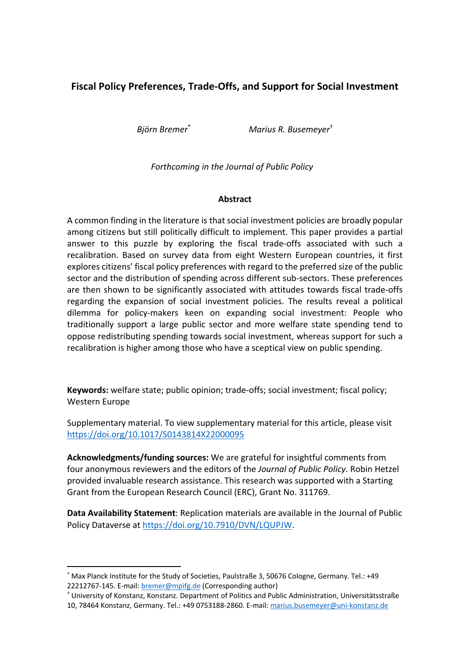# **Fiscal Policy Preferences, Trade-Offs, and Support for Social Investment**

*Björn Bremer*\* *Marius R. Busemeyer*†

## *Forthcoming in the Journal of Public Policy*

## **Abstract**

A common finding in the literature is that social investment policies are broadly popular among citizens but still politically difficult to implement. This paper provides a partial answer to this puzzle by exploring the fiscal trade-offs associated with such a recalibration. Based on survey data from eight Western European countries, it first explores citizens' fiscal policy preferences with regard to the preferred size of the public sector and the distribution of spending across different sub-sectors. These preferences are then shown to be significantly associated with attitudes towards fiscal trade-offs regarding the expansion of social investment policies. The results reveal a political dilemma for policy-makers keen on expanding social investment: People who traditionally support a large public sector and more welfare state spending tend to oppose redistributing spending towards social investment, whereas support for such a recalibration is higher among those who have a sceptical view on public spending.

**Keywords:** welfare state; public opinion; trade-offs; social investment; fiscal policy; Western Europe

Supplementary material. To view supplementary material for this article, please visit https://doi.org/10.1017/S0143814X22000095

**Acknowledgments/funding sources:** We are grateful for insightful comments from four anonymous reviewers and the editors of the *Journal of Public Policy*. Robin Hetzel provided invaluable research assistance. This research was supported with a Starting Grant from the European Research Council (ERC), Grant No. 311769.

**Data Availability Statement**: Replication materials are available in the Journal of Public Policy Dataverse at https://doi.org/10.7910/DVN/LQUPJW.

<sup>\*</sup> Max Planck Institute for the Study of Societies, Paulstraße 3, 50676 Cologne, Germany. Tel.: +49 22212767-145. E-mail: **bremer@mpifg.de** (Corresponding author)<br><sup>†</sup> University of Konstanz, Konstanz. Department of Politics and Public Administration, Universitätsstraße

<sup>10, 78464</sup> Konstanz, Germany. Tel.: +49 0753188-2860. E-mail: marius.busemeyer@uni-konstanz.de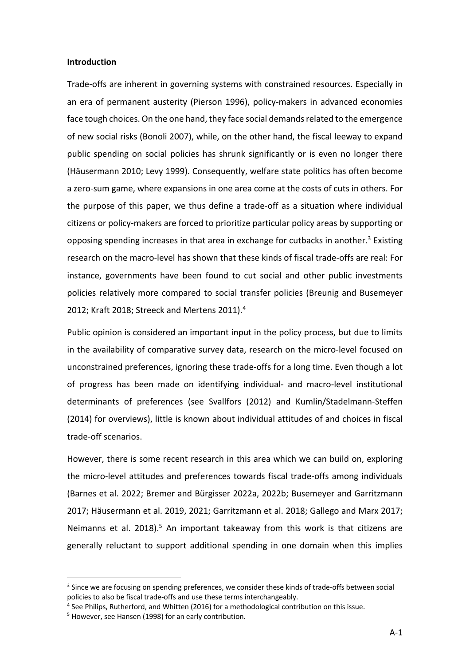#### **Introduction**

Trade-offs are inherent in governing systems with constrained resources. Especially in an era of permanent austerity (Pierson 1996), policy-makers in advanced economies face tough choices. On the one hand, they face social demands related to the emergence of new social risks (Bonoli 2007), while, on the other hand, the fiscal leeway to expand public spending on social policies has shrunk significantly or is even no longer there (Häusermann 2010; Levy 1999). Consequently, welfare state politics has often become a zero-sum game, where expansions in one area come at the costs of cuts in others. For the purpose of this paper, we thus define a trade-off as a situation where individual citizens or policy-makers are forced to prioritize particular policy areas by supporting or opposing spending increases in that area in exchange for cutbacks in another.<sup>3</sup> Existing research on the macro-level has shown that these kinds of fiscal trade-offs are real: For instance, governments have been found to cut social and other public investments policies relatively more compared to social transfer policies (Breunig and Busemeyer 2012; Kraft 2018; Streeck and Mertens 2011). 4

Public opinion is considered an important input in the policy process, but due to limits in the availability of comparative survey data, research on the micro-level focused on unconstrained preferences, ignoring these trade-offs for a long time. Even though a lot of progress has been made on identifying individual- and macro-level institutional determinants of preferences (see Svallfors (2012) and Kumlin/Stadelmann-Steffen (2014) for overviews), little is known about individual attitudes of and choices in fiscal trade-off scenarios.

However, there is some recent research in this area which we can build on, exploring the micro-level attitudes and preferences towards fiscal trade-offs among individuals (Barnes et al. 2022; Bremer and Bürgisser 2022a, 2022b; Busemeyer and Garritzmann 2017; Häusermann et al. 2019, 2021; Garritzmann et al. 2018; Gallego and Marx 2017; Neimanns et al. 2018).<sup>5</sup> An important takeaway from this work is that citizens are generally reluctant to support additional spending in one domain when this implies

<sup>&</sup>lt;sup>3</sup> Since we are focusing on spending preferences, we consider these kinds of trade-offs between social policies to also be fiscal trade-offs and use these terms interchangeably.

<sup>&</sup>lt;sup>4</sup> See Philips, Rutherford, and Whitten (2016) for a methodological contribution on this issue.

<sup>&</sup>lt;sup>5</sup> However, see Hansen (1998) for an early contribution.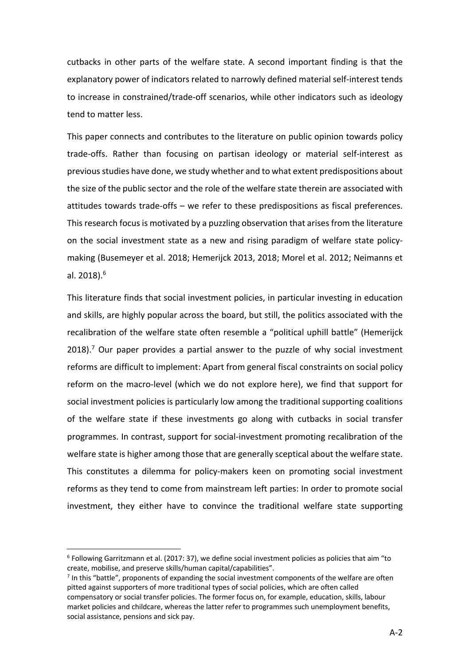cutbacks in other parts of the welfare state. A second important finding is that the explanatory power of indicators related to narrowly defined material self-interest tends to increase in constrained/trade-off scenarios, while other indicators such as ideology tend to matter less.

This paper connects and contributes to the literature on public opinion towards policy trade-offs. Rather than focusing on partisan ideology or material self-interest as previous studies have done, we study whether and to what extent predispositions about the size of the public sector and the role of the welfare state therein are associated with attitudes towards trade-offs – we refer to these predispositions as fiscal preferences. This research focus is motivated by a puzzling observation that arises from the literature on the social investment state as a new and rising paradigm of welfare state policymaking (Busemeyer et al. 2018; Hemerijck 2013, 2018; Morel et al. 2012; Neimanns et al. 2018). 6

This literature finds that social investment policies, in particular investing in education and skills, are highly popular across the board, but still, the politics associated with the recalibration of the welfare state often resemble a "political uphill battle" (Hemerijck 2018).<sup>7</sup> Our paper provides a partial answer to the puzzle of why social investment reforms are difficult to implement: Apart from general fiscal constraints on social policy reform on the macro-level (which we do not explore here), we find that support for social investment policies is particularly low among the traditional supporting coalitions of the welfare state if these investments go along with cutbacks in social transfer programmes. In contrast, support for social-investment promoting recalibration of the welfare state is higher among those that are generally sceptical about the welfare state. This constitutes a dilemma for policy-makers keen on promoting social investment reforms as they tend to come from mainstream left parties: In order to promote social investment, they either have to convince the traditional welfare state supporting

 $6$  Following Garritzmann et al. (2017: 37), we define social investment policies as policies that aim "to create, mobilise, and preserve skills/human capital/capabilities".

 $<sup>7</sup>$  In this "battle", proponents of expanding the social investment components of the welfare are often</sup> pitted against supporters of more traditional types of social policies, which are often called compensatory or social transfer policies. The former focus on, for example, education, skills, labour market policies and childcare, whereas the latter refer to programmes such unemployment benefits, social assistance, pensions and sick pay.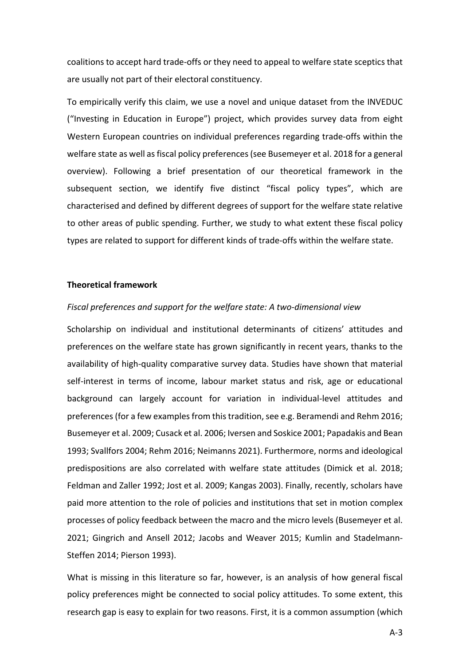coalitions to accept hard trade-offs or they need to appeal to welfare state sceptics that are usually not part of their electoral constituency.

To empirically verify this claim, we use a novel and unique dataset from the INVEDUC ("Investing in Education in Europe") project, which provides survey data from eight Western European countries on individual preferences regarding trade-offs within the welfare state as well as fiscal policy preferences (see Busemeyer et al. 2018 for a general overview). Following a brief presentation of our theoretical framework in the subsequent section, we identify five distinct "fiscal policy types", which are characterised and defined by different degrees of support for the welfare state relative to other areas of public spending. Further, we study to what extent these fiscal policy types are related to support for different kinds of trade-offs within the welfare state.

#### **Theoretical framework**

#### *Fiscal preferences and support for the welfare state: A two-dimensional view*

Scholarship on individual and institutional determinants of citizens' attitudes and preferences on the welfare state has grown significantly in recent years, thanks to the availability of high-quality comparative survey data. Studies have shown that material self-interest in terms of income, labour market status and risk, age or educational background can largely account for variation in individual-level attitudes and preferences (for a few examples from this tradition, see e.g. Beramendi and Rehm 2016; Busemeyer et al. 2009; Cusack et al. 2006; Iversen and Soskice 2001; Papadakis and Bean 1993; Svallfors 2004; Rehm 2016; Neimanns 2021). Furthermore, norms and ideological predispositions are also correlated with welfare state attitudes (Dimick et al. 2018; Feldman and Zaller 1992; Jost et al. 2009; Kangas 2003). Finally, recently, scholars have paid more attention to the role of policies and institutions that set in motion complex processes of policy feedback between the macro and the micro levels (Busemeyer et al. 2021; Gingrich and Ansell 2012; Jacobs and Weaver 2015; Kumlin and Stadelmann-Steffen 2014; Pierson 1993).

What is missing in this literature so far, however, is an analysis of how general fiscal policy preferences might be connected to social policy attitudes. To some extent, this research gap is easy to explain for two reasons. First, it is a common assumption (which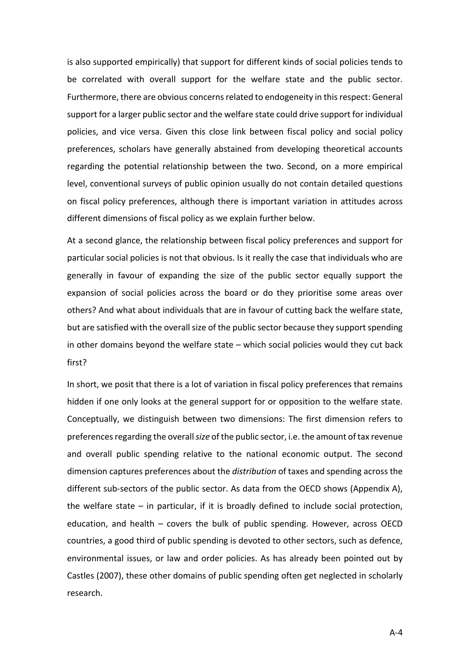is also supported empirically) that support for different kinds of social policies tends to be correlated with overall support for the welfare state and the public sector. Furthermore, there are obvious concerns related to endogeneity in this respect: General support for a larger public sector and the welfare state could drive support for individual policies, and vice versa. Given this close link between fiscal policy and social policy preferences, scholars have generally abstained from developing theoretical accounts regarding the potential relationship between the two. Second, on a more empirical level, conventional surveys of public opinion usually do not contain detailed questions on fiscal policy preferences, although there is important variation in attitudes across different dimensions of fiscal policy as we explain further below.

At a second glance, the relationship between fiscal policy preferences and support for particular social policies is not that obvious. Is it really the case that individuals who are generally in favour of expanding the size of the public sector equally support the expansion of social policies across the board or do they prioritise some areas over others? And what about individuals that are in favour of cutting back the welfare state, but are satisfied with the overall size of the public sector because they support spending in other domains beyond the welfare state – which social policies would they cut back first?

In short, we posit that there is a lot of variation in fiscal policy preferences that remains hidden if one only looks at the general support for or opposition to the welfare state. Conceptually, we distinguish between two dimensions: The first dimension refers to preferences regarding the overall *size* of the public sector, i.e. the amount of tax revenue and overall public spending relative to the national economic output. The second dimension captures preferences about the *distribution* of taxes and spending across the different sub-sectors of the public sector. As data from the OECD shows (Appendix A), the welfare state – in particular, if it is broadly defined to include social protection, education, and health – covers the bulk of public spending. However, across OECD countries, a good third of public spending is devoted to other sectors, such as defence, environmental issues, or law and order policies. As has already been pointed out by Castles (2007), these other domains of public spending often get neglected in scholarly research.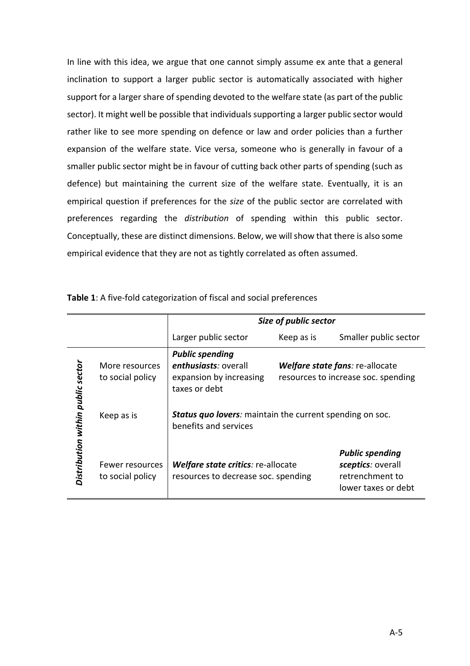In line with this idea, we argue that one cannot simply assume ex ante that a general inclination to support a larger public sector is automatically associated with higher support for a larger share of spending devoted to the welfare state (as part of the public sector). It might well be possible that individuals supporting a larger public sector would rather like to see more spending on defence or law and order policies than a further expansion of the welfare state. Vice versa, someone who is generally in favour of a smaller public sector might be in favour of cutting back other parts of spending (such as defence) but maintaining the current size of the welfare state. Eventually, it is an empirical question if preferences for the *size* of the public sector are correlated with preferences regarding the *distribution* of spending within this public sector. Conceptually, these are distinct dimensions. Below, we will show that there is also some empirical evidence that they are not as tightly correlated as often assumed.

|                                   |                                     | Size of public sector                                                                      |                                                                        |                                                                                       |  |  |  |  |
|-----------------------------------|-------------------------------------|--------------------------------------------------------------------------------------------|------------------------------------------------------------------------|---------------------------------------------------------------------------------------|--|--|--|--|
|                                   |                                     | Larger public sector                                                                       | Keep as is                                                             | Smaller public sector                                                                 |  |  |  |  |
| Distribution within public sector | More resources<br>to social policy  | <b>Public spending</b><br>enthusiasts: overall<br>expansion by increasing<br>taxes or debt | Welfare state fans: re-allocate<br>resources to increase soc. spending |                                                                                       |  |  |  |  |
|                                   | Keep as is                          | <b>Status quo lovers:</b> maintain the current spending on soc.<br>benefits and services   |                                                                        |                                                                                       |  |  |  |  |
|                                   | Fewer resources<br>to social policy | Welfare state critics: re-allocate<br>resources to decrease soc. spending                  |                                                                        | <b>Public spending</b><br>sceptics: overall<br>retrenchment to<br>lower taxes or debt |  |  |  |  |

**Table 1**: A five-fold categorization of fiscal and social preferences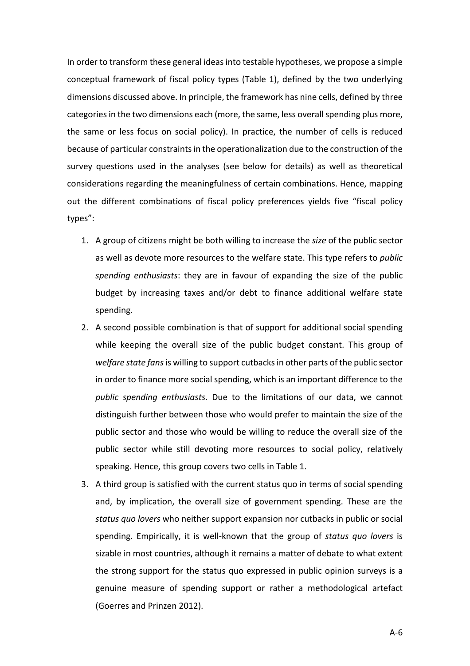In order to transform these general ideas into testable hypotheses, we propose a simple conceptual framework of fiscal policy types (Table 1), defined by the two underlying dimensions discussed above. In principle, the framework has nine cells, defined by three categories in the two dimensions each (more, the same, less overall spending plus more, the same or less focus on social policy). In practice, the number of cells is reduced because of particular constraints in the operationalization due to the construction of the survey questions used in the analyses (see below for details) as well as theoretical considerations regarding the meaningfulness of certain combinations. Hence, mapping out the different combinations of fiscal policy preferences yields five "fiscal policy types":

- 1. A group of citizens might be both willing to increase the *size* of the public sector as well as devote more resources to the welfare state. This type refers to *public spending enthusiasts*: they are in favour of expanding the size of the public budget by increasing taxes and/or debt to finance additional welfare state spending.
- 2. A second possible combination is that of support for additional social spending while keeping the overall size of the public budget constant. This group of *welfare state fans* is willing to support cutbacks in other parts of the public sector in order to finance more social spending, which is an important difference to the *public spending enthusiasts*. Due to the limitations of our data, we cannot distinguish further between those who would prefer to maintain the size of the public sector and those who would be willing to reduce the overall size of the public sector while still devoting more resources to social policy, relatively speaking. Hence, this group covers two cells in Table 1.
- 3. A third group is satisfied with the current status quo in terms of social spending and, by implication, the overall size of government spending. These are the *status quo lovers* who neither support expansion nor cutbacks in public or social spending. Empirically, it is well-known that the group of *status quo lovers* is sizable in most countries, although it remains a matter of debate to what extent the strong support for the status quo expressed in public opinion surveys is a genuine measure of spending support or rather a methodological artefact (Goerres and Prinzen 2012).

A-6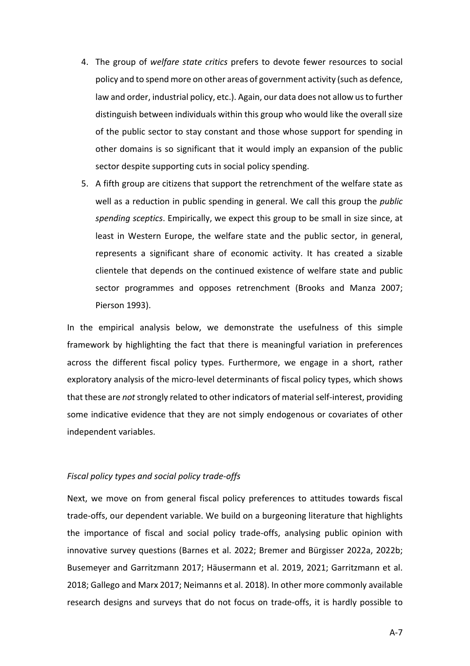- 4. The group of *welfare state critics* prefers to devote fewer resources to social policy and to spend more on other areas of government activity (such as defence, law and order, industrial policy, etc.). Again, our data does not allow us to further distinguish between individuals within this group who would like the overall size of the public sector to stay constant and those whose support for spending in other domains is so significant that it would imply an expansion of the public sector despite supporting cuts in social policy spending.
- 5. A fifth group are citizens that support the retrenchment of the welfare state as well as a reduction in public spending in general. We call this group the *public spending sceptics*. Empirically, we expect this group to be small in size since, at least in Western Europe, the welfare state and the public sector, in general, represents a significant share of economic activity. It has created a sizable clientele that depends on the continued existence of welfare state and public sector programmes and opposes retrenchment (Brooks and Manza 2007; Pierson 1993).

In the empirical analysis below, we demonstrate the usefulness of this simple framework by highlighting the fact that there is meaningful variation in preferences across the different fiscal policy types. Furthermore, we engage in a short, rather exploratory analysis of the micro-level determinants of fiscal policy types, which shows that these are *not*strongly related to other indicators of material self-interest, providing some indicative evidence that they are not simply endogenous or covariates of other independent variables.

### *Fiscal policy types and social policy trade-offs*

Next, we move on from general fiscal policy preferences to attitudes towards fiscal trade-offs, our dependent variable. We build on a burgeoning literature that highlights the importance of fiscal and social policy trade-offs, analysing public opinion with innovative survey questions (Barnes et al. 2022; Bremer and Bürgisser 2022a, 2022b; Busemeyer and Garritzmann 2017; Häusermann et al. 2019, 2021; Garritzmann et al. 2018; Gallego and Marx 2017; Neimanns et al. 2018). In other more commonly available research designs and surveys that do not focus on trade-offs, it is hardly possible to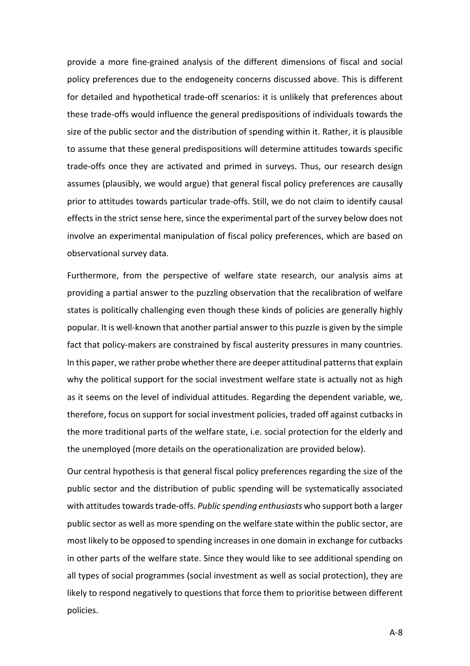provide a more fine-grained analysis of the different dimensions of fiscal and social policy preferences due to the endogeneity concerns discussed above. This is different for detailed and hypothetical trade-off scenarios: it is unlikely that preferences about these trade-offs would influence the general predispositions of individuals towards the size of the public sector and the distribution of spending within it. Rather, it is plausible to assume that these general predispositions will determine attitudes towards specific trade-offs once they are activated and primed in surveys. Thus, our research design assumes (plausibly, we would argue) that general fiscal policy preferences are causally prior to attitudes towards particular trade-offs. Still, we do not claim to identify causal effects in the strict sense here, since the experimental part of the survey below does not involve an experimental manipulation of fiscal policy preferences, which are based on observational survey data.

Furthermore, from the perspective of welfare state research, our analysis aims at providing a partial answer to the puzzling observation that the recalibration of welfare states is politically challenging even though these kinds of policies are generally highly popular. It is well-known that another partial answer to this puzzle is given by the simple fact that policy-makers are constrained by fiscal austerity pressures in many countries. In this paper, we rather probe whether there are deeper attitudinal patterns that explain why the political support for the social investment welfare state is actually not as high as it seems on the level of individual attitudes. Regarding the dependent variable, we, therefore, focus on support for social investment policies, traded off against cutbacks in the more traditional parts of the welfare state, i.e. social protection for the elderly and the unemployed (more details on the operationalization are provided below).

Our central hypothesis is that general fiscal policy preferences regarding the size of the public sector and the distribution of public spending will be systematically associated with attitudes towards trade-offs. *Public spending enthusiasts* who support both a larger public sector as well as more spending on the welfare state within the public sector, are most likely to be opposed to spending increases in one domain in exchange for cutbacks in other parts of the welfare state. Since they would like to see additional spending on all types of social programmes (social investment as well as social protection), they are likely to respond negatively to questions that force them to prioritise between different policies.

A-8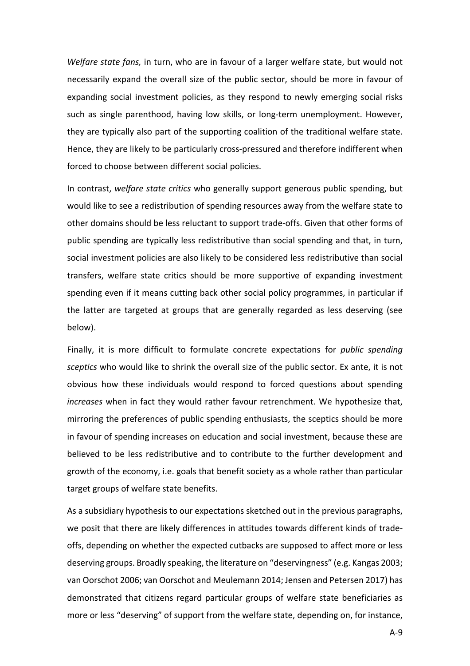*Welfare state fans,* in turn, who are in favour of a larger welfare state, but would not necessarily expand the overall size of the public sector, should be more in favour of expanding social investment policies, as they respond to newly emerging social risks such as single parenthood, having low skills, or long-term unemployment. However, they are typically also part of the supporting coalition of the traditional welfare state. Hence, they are likely to be particularly cross-pressured and therefore indifferent when forced to choose between different social policies.

In contrast, *welfare state critics* who generally support generous public spending, but would like to see a redistribution of spending resources away from the welfare state to other domains should be less reluctant to support trade-offs. Given that other forms of public spending are typically less redistributive than social spending and that, in turn, social investment policies are also likely to be considered less redistributive than social transfers, welfare state critics should be more supportive of expanding investment spending even if it means cutting back other social policy programmes, in particular if the latter are targeted at groups that are generally regarded as less deserving (see below).

Finally, it is more difficult to formulate concrete expectations for *public spending sceptics* who would like to shrink the overall size of the public sector. Ex ante, it is not obvious how these individuals would respond to forced questions about spending *increases* when in fact they would rather favour retrenchment. We hypothesize that, mirroring the preferences of public spending enthusiasts, the sceptics should be more in favour of spending increases on education and social investment, because these are believed to be less redistributive and to contribute to the further development and growth of the economy, i.e. goals that benefit society as a whole rather than particular target groups of welfare state benefits.

As a subsidiary hypothesis to our expectations sketched out in the previous paragraphs, we posit that there are likely differences in attitudes towards different kinds of tradeoffs, depending on whether the expected cutbacks are supposed to affect more or less deserving groups. Broadly speaking, the literature on "deservingness" (e.g. Kangas 2003; van Oorschot 2006; van Oorschot and Meulemann 2014; Jensen and Petersen 2017) has demonstrated that citizens regard particular groups of welfare state beneficiaries as more or less "deserving" of support from the welfare state, depending on, for instance,

A-9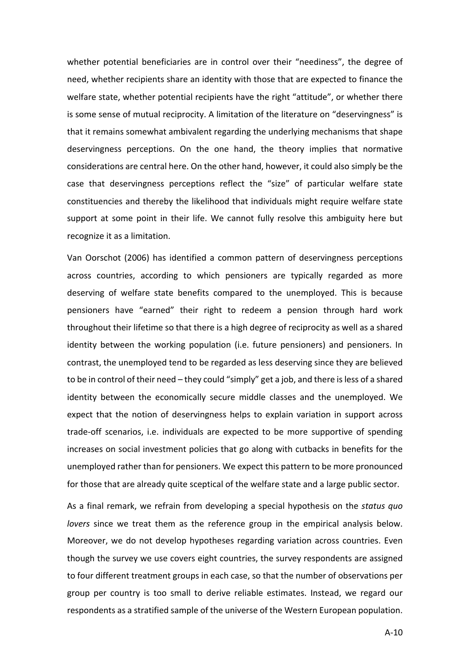whether potential beneficiaries are in control over their "neediness", the degree of need, whether recipients share an identity with those that are expected to finance the welfare state, whether potential recipients have the right "attitude", or whether there is some sense of mutual reciprocity. A limitation of the literature on "deservingness" is that it remains somewhat ambivalent regarding the underlying mechanisms that shape deservingness perceptions. On the one hand, the theory implies that normative considerations are central here. On the other hand, however, it could also simply be the case that deservingness perceptions reflect the "size" of particular welfare state constituencies and thereby the likelihood that individuals might require welfare state support at some point in their life. We cannot fully resolve this ambiguity here but recognize it as a limitation.

Van Oorschot (2006) has identified a common pattern of deservingness perceptions across countries, according to which pensioners are typically regarded as more deserving of welfare state benefits compared to the unemployed. This is because pensioners have "earned" their right to redeem a pension through hard work throughout their lifetime so that there is a high degree of reciprocity as well as a shared identity between the working population (i.e. future pensioners) and pensioners. In contrast, the unemployed tend to be regarded as less deserving since they are believed to be in control of their need – they could "simply" get a job, and there is less of a shared identity between the economically secure middle classes and the unemployed. We expect that the notion of deservingness helps to explain variation in support across trade-off scenarios, i.e. individuals are expected to be more supportive of spending increases on social investment policies that go along with cutbacks in benefits for the unemployed rather than for pensioners. We expect this pattern to be more pronounced for those that are already quite sceptical of the welfare state and a large public sector.

As a final remark, we refrain from developing a special hypothesis on the *status quo lovers* since we treat them as the reference group in the empirical analysis below. Moreover, we do not develop hypotheses regarding variation across countries. Even though the survey we use covers eight countries, the survey respondents are assigned to four different treatment groups in each case, so that the number of observations per group per country is too small to derive reliable estimates. Instead, we regard our respondents as a stratified sample of the universe of the Western European population.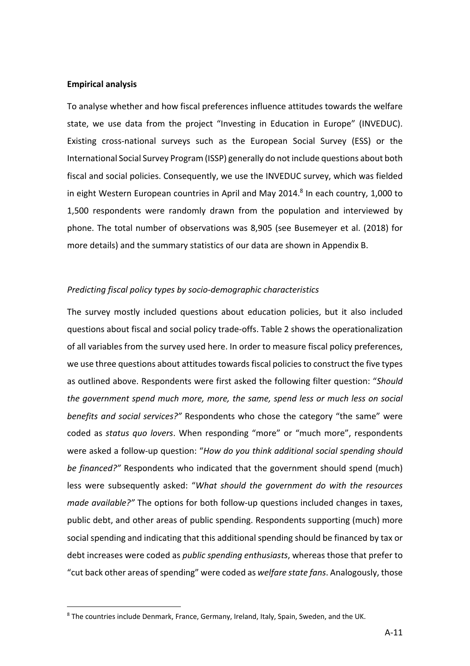#### **Empirical analysis**

To analyse whether and how fiscal preferences influence attitudes towards the welfare state, we use data from the project "Investing in Education in Europe" (INVEDUC). Existing cross-national surveys such as the European Social Survey (ESS) or the International Social Survey Program (ISSP) generally do not include questions about both fiscal and social policies. Consequently, we use the INVEDUC survey, which was fielded in eight Western European countries in April and May 2014. $8$  In each country, 1,000 to 1,500 respondents were randomly drawn from the population and interviewed by phone. The total number of observations was 8,905 (see Busemeyer et al. (2018) for more details) and the summary statistics of our data are shown in Appendix B.

#### *Predicting fiscal policy types by socio-demographic characteristics*

The survey mostly included questions about education policies, but it also included questions about fiscal and social policy trade-offs. Table 2 shows the operationalization of all variables from the survey used here. In order to measure fiscal policy preferences, we use three questions about attitudes towards fiscal policies to construct the five types as outlined above. Respondents were first asked the following filter question: "*Should the government spend much more, more, the same, spend less or much less on social benefits and social services?"* Respondents who chose the category "the same" were coded as *status quo lovers*. When responding "more" or "much more", respondents were asked a follow-up question: "*How do you think additional social spending should be financed?"* Respondents who indicated that the government should spend (much) less were subsequently asked: "*What should the government do with the resources made available?"* The options for both follow-up questions included changes in taxes, public debt, and other areas of public spending. Respondents supporting (much) more social spending and indicating that this additional spending should be financed by tax or debt increases were coded as *public spending enthusiasts*, whereas those that prefer to "cut back other areas of spending" were coded as *welfare state fans*. Analogously, those

<sup>8</sup> The countries include Denmark, France, Germany, Ireland, Italy, Spain, Sweden, and the UK.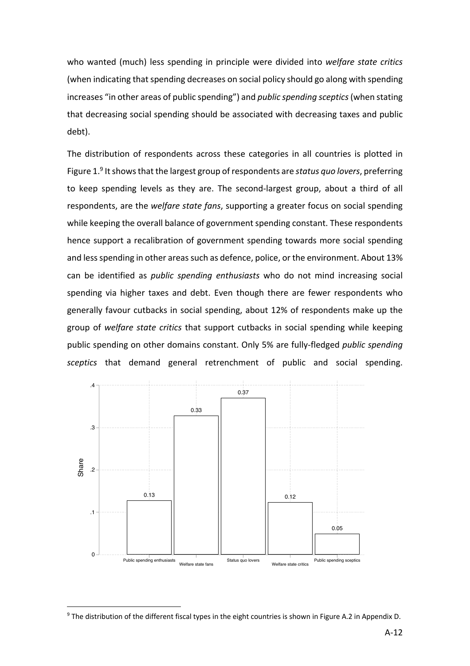who wanted (much) less spending in principle were divided into *welfare state critics* (when indicating that spending decreases on social policy should go along with spending increases "in other areas of public spending") and *public spending sceptics* (when stating that decreasing social spending should be associated with decreasing taxes and public debt).

The distribution of respondents across these categories in all countries is plotted in Figure 1. <sup>9</sup> It shows that the largest group of respondents are *status quo lovers*, preferring to keep spending levels as they are. The second-largest group, about a third of all respondents, are the *welfare state fans*, supporting a greater focus on social spending while keeping the overall balance of government spending constant. These respondents hence support a recalibration of government spending towards more social spending and less spending in other areas such as defence, police, or the environment. About 13% can be identified as *public spending enthusiasts* who do not mind increasing social spending via higher taxes and debt. Even though there are fewer respondents who generally favour cutbacks in social spending, about 12% of respondents make up the group of *welfare state critics* that support cutbacks in social spending while keeping public spending on other domains constant. Only 5% are fully-fledged *public spending sceptics* that demand general retrenchment of public and social spending.



<sup>&</sup>lt;sup>9</sup> The distribution of the different fiscal types in the eight countries is shown in Figure A.2 in Appendix D.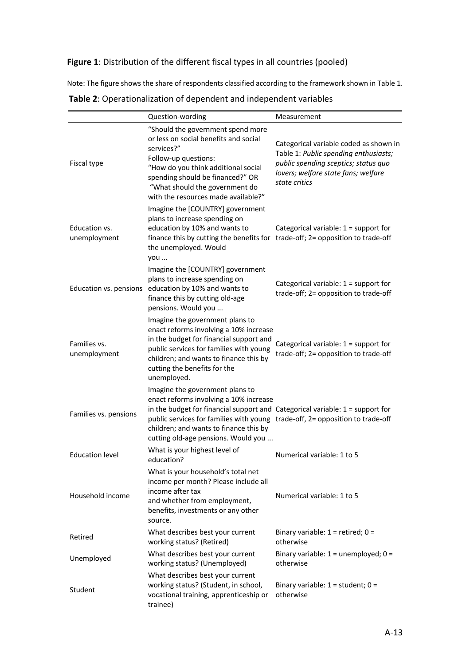# **Figure 1**: Distribution of the different fiscal types in all countries (pooled)

Note: The figure shows the share of respondents classified according to the framework shown in Table 1.

|                               | Question-wording                                                                                                                                                                                                                                                                                                               | Measurement                                                                                                                                                                     |
|-------------------------------|--------------------------------------------------------------------------------------------------------------------------------------------------------------------------------------------------------------------------------------------------------------------------------------------------------------------------------|---------------------------------------------------------------------------------------------------------------------------------------------------------------------------------|
| Fiscal type                   | "Should the government spend more<br>or less on social benefits and social<br>services?"<br>Follow-up questions:<br>"How do you think additional social<br>spending should be financed?" OR<br>"What should the government do<br>with the resources made available?"                                                           | Categorical variable coded as shown in<br>Table 1: Public spending enthusiasts;<br>public spending sceptics; status quo<br>lovers; welfare state fans; welfare<br>state critics |
| Education vs.<br>unemployment | Imagine the [COUNTRY] government<br>plans to increase spending on<br>education by 10% and wants to<br>finance this by cutting the benefits for trade-off; 2= opposition to trade-off<br>the unemployed. Would<br>you                                                                                                           | Categorical variable: $1 =$ support for                                                                                                                                         |
| Education vs. pensions        | Imagine the [COUNTRY] government<br>plans to increase spending on<br>education by 10% and wants to<br>finance this by cutting old-age<br>pensions. Would you                                                                                                                                                                   | Categorical variable: $1 =$ support for<br>trade-off; 2= opposition to trade-off                                                                                                |
| Families vs.<br>unemployment  | Imagine the government plans to<br>enact reforms involving a 10% increase<br>in the budget for financial support and<br>public services for families with young<br>children; and wants to finance this by<br>cutting the benefits for the<br>unemployed.                                                                       | Categorical variable: 1 = support for<br>trade-off; 2= opposition to trade-off                                                                                                  |
| Families vs. pensions         | Imagine the government plans to<br>enact reforms involving a 10% increase<br>in the budget for financial support and Categorical variable: $1 =$ support for<br>public services for families with young trade-off, 2= opposition to trade-off<br>children; and wants to finance this by<br>cutting old-age pensions. Would you |                                                                                                                                                                                 |
| <b>Education level</b>        | What is your highest level of<br>education?                                                                                                                                                                                                                                                                                    | Numerical variable: 1 to 5                                                                                                                                                      |
| Household income              | What is your household's total net<br>income per month? Please include all<br>income after tax<br>and whether from employment,<br>benefits, investments or any other<br>source.                                                                                                                                                | Numerical variable: 1 to 5                                                                                                                                                      |
| Retired                       | What describes best your current<br>working status? (Retired)                                                                                                                                                                                                                                                                  | Binary variable: $1$ = retired; $0$ =<br>otherwise                                                                                                                              |
| Unemployed                    | What describes best your current<br>working status? (Unemployed)                                                                                                                                                                                                                                                               | Binary variable: $1 =$ unemployed; $0 =$<br>otherwise                                                                                                                           |
| Student                       | What describes best your current<br>working status? (Student, in school,<br>vocational training, apprenticeship or<br>trainee)                                                                                                                                                                                                 | Binary variable: $1 = student$ ; $0 =$<br>otherwise                                                                                                                             |

| Table 2: Operationalization of dependent and independent variables |  |
|--------------------------------------------------------------------|--|
|                                                                    |  |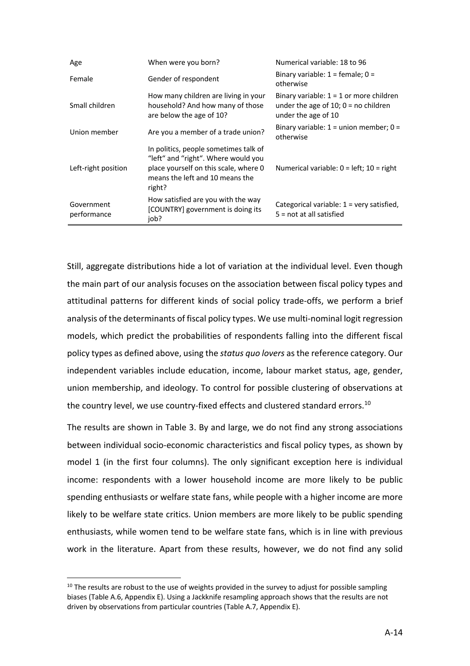| Age                       | When were you born?                                                                                                                                                | Numerical variable: 18 to 96                                                                               |
|---------------------------|--------------------------------------------------------------------------------------------------------------------------------------------------------------------|------------------------------------------------------------------------------------------------------------|
| Female                    | Gender of respondent                                                                                                                                               | Binary variable: $1 =$ female; $0 =$<br>otherwise                                                          |
| Small children            | How many children are living in your<br>household? And how many of those<br>are below the age of 10?                                                               | Binary variable: $1 = 1$ or more children<br>under the age of 10; $0 = no$ children<br>under the age of 10 |
| Union member              | Are you a member of a trade union?                                                                                                                                 | Binary variable: $1 =$ union member; $0 =$<br>otherwise                                                    |
| Left-right position       | In politics, people sometimes talk of<br>"left" and "right". Where would you<br>place yourself on this scale, where 0<br>means the left and 10 means the<br>right? | Numerical variable: $0 = left$ ; $10 = right$                                                              |
| Government<br>performance | How satisfied are you with the way<br>[COUNTRY] government is doing its<br>iob?                                                                                    | Categorical variable: $1$ = very satisfied,<br>$5 = not$ at all satisfied                                  |

Still, aggregate distributions hide a lot of variation at the individual level. Even though the main part of our analysis focuses on the association between fiscal policy types and attitudinal patterns for different kinds of social policy trade-offs, we perform a brief analysis of the determinants of fiscal policy types. We use multi-nominal logit regression models, which predict the probabilities of respondents falling into the different fiscal policy types as defined above, using the *status quo lovers* as the reference category. Our independent variables include education, income, labour market status, age, gender, union membership, and ideology. To control for possible clustering of observations at the country level, we use country-fixed effects and clustered standard errors.<sup>10</sup>

The results are shown in Table 3. By and large, we do not find any strong associations between individual socio-economic characteristics and fiscal policy types, as shown by model 1 (in the first four columns). The only significant exception here is individual income: respondents with a lower household income are more likely to be public spending enthusiasts or welfare state fans, while people with a higher income are more likely to be welfare state critics. Union members are more likely to be public spending enthusiasts, while women tend to be welfare state fans, which is in line with previous work in the literature. Apart from these results, however, we do not find any solid

 $10$  The results are robust to the use of weights provided in the survey to adjust for possible sampling biases (Table A.6, Appendix E). Using a Jackknife resampling approach shows that the results are not driven by observations from particular countries (Table A.7, Appendix E).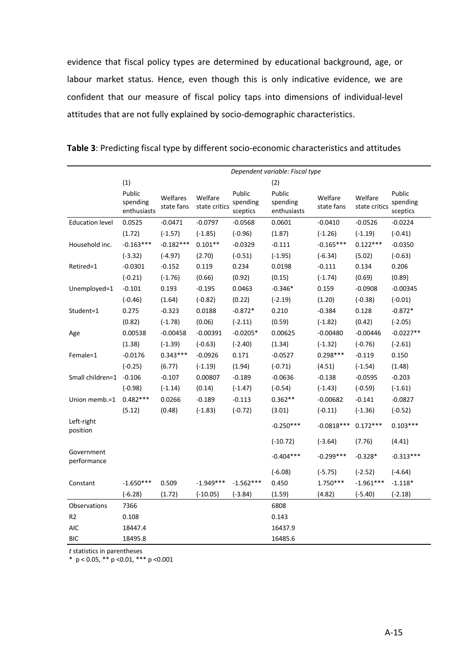evidence that fiscal policy types are determined by educational background, age, or labour market status. Hence, even though this is only indicative evidence, we are confident that our measure of fiscal policy taps into dimensions of individual-level attitudes that are not fully explained by socio-demographic characteristics.

|                           | Dependent variable: Fiscal type   |                        |                          |                                |                                   |                       |                          |                                |
|---------------------------|-----------------------------------|------------------------|--------------------------|--------------------------------|-----------------------------------|-----------------------|--------------------------|--------------------------------|
|                           | (1)                               |                        |                          |                                | (2)                               |                       |                          |                                |
|                           | Public<br>spending<br>enthusiasts | Welfares<br>state fans | Welfare<br>state critics | Public<br>spending<br>sceptics | Public<br>spending<br>enthusiasts | Welfare<br>state fans | Welfare<br>state critics | Public<br>spending<br>sceptics |
| <b>Education level</b>    | 0.0525                            | $-0.0471$              | $-0.0797$                | $-0.0568$                      | 0.0601                            | $-0.0410$             | $-0.0526$                | $-0.0224$                      |
|                           | (1.72)                            | $(-1.57)$              | $(-1.85)$                | $(-0.96)$                      | (1.87)                            | $(-1.26)$             | $(-1.19)$                | $(-0.41)$                      |
| Household inc.            | $-0.163***$                       | $-0.182***$            | $0.101**$                | $-0.0329$                      | $-0.111$                          | $-0.165***$           | $0.122***$               | $-0.0350$                      |
|                           | $(-3.32)$                         | $(-4.97)$              | (2.70)                   | $(-0.51)$                      | $(-1.95)$                         | $(-6.34)$             | (5.02)                   | $(-0.63)$                      |
| Retired=1                 | $-0.0301$                         | $-0.152$               | 0.119                    | 0.234                          | 0.0198                            | $-0.111$              | 0.134                    | 0.206                          |
|                           | $(-0.21)$                         | $(-1.76)$              | (0.66)                   | (0.92)                         | (0.15)                            | $(-1.74)$             | (0.69)                   | (0.89)                         |
| Unemployed=1              | $-0.101$                          | 0.193                  | $-0.195$                 | 0.0463                         | $-0.346*$                         | 0.159                 | $-0.0908$                | $-0.00345$                     |
|                           | $(-0.46)$                         | (1.64)                 | $(-0.82)$                | (0.22)                         | $(-2.19)$                         | (1.20)                | $(-0.38)$                | $(-0.01)$                      |
| Student=1                 | 0.275                             | $-0.323$               | 0.0188                   | $-0.872*$                      | 0.210                             | $-0.384$              | 0.128                    | $-0.872*$                      |
|                           | (0.82)                            | $(-1.78)$              | (0.06)                   | $(-2.11)$                      | (0.59)                            | $(-1.82)$             | (0.42)                   | $(-2.05)$                      |
| Age                       | 0.00538                           | $-0.00458$             | $-0.00391$               | $-0.0205*$                     | 0.00625                           | $-0.00480$            | $-0.00446$               | $-0.0227**$                    |
|                           | (1.38)                            | $(-1.39)$              | $(-0.63)$                | $(-2.40)$                      | (1.34)                            | $(-1.32)$             | $(-0.76)$                | $(-2.61)$                      |
| Female=1                  | $-0.0176$                         | $0.343***$             | $-0.0926$                | 0.171                          | $-0.0527$                         | $0.298***$            | $-0.119$                 | 0.150                          |
|                           | $(-0.25)$                         | (6.77)                 | $(-1.19)$                | (1.94)                         | $(-0.71)$                         | (4.51)                | $(-1.54)$                | (1.48)                         |
| Small children=1 -0.106   |                                   | $-0.107$               | 0.00807                  | $-0.189$                       | $-0.0636$                         | $-0.138$              | $-0.0595$                | $-0.203$                       |
|                           | $(-0.98)$                         | $(-1.14)$              | (0.14)                   | $(-1.47)$                      | $(-0.54)$                         | $(-1.43)$             | $(-0.59)$                | $(-1.61)$                      |
| Union memb.=1             | $0.482***$                        | 0.0266                 | $-0.189$                 | $-0.113$                       | $0.362**$                         | $-0.00682$            | $-0.141$                 | $-0.0827$                      |
|                           | (5.12)                            | (0.48)                 | $(-1.83)$                | $(-0.72)$                      | (3.01)                            | $(-0.11)$             | $(-1.36)$                | $(-0.52)$                      |
| Left-right<br>position    |                                   |                        |                          |                                | $-0.250***$                       | $-0.0818***$          | $0.172***$               | $0.103***$                     |
|                           |                                   |                        |                          |                                | $(-10.72)$                        | $(-3.64)$             | (7.76)                   | (4.41)                         |
| Government<br>performance |                                   |                        |                          |                                | $-0.404***$                       | $-0.299***$           | $-0.328*$                | $-0.313***$                    |
|                           |                                   |                        |                          |                                | $(-6.08)$                         | $(-5.75)$             | $(-2.52)$                | $(-4.64)$                      |
| Constant                  | $-1.650***$                       | 0.509                  | $-1.949***$              | $-1.562***$                    | 0.450                             | $1.750***$            | $-1.961***$              | $-1.118*$                      |
|                           | $(-6.28)$                         | (1.72)                 | $(-10.05)$               | $(-3.84)$                      | (1.59)                            | (4.82)                | $(-5.40)$                | $(-2.18)$                      |
| Observations              | 7366                              |                        |                          |                                | 6808                              |                       |                          |                                |
| R <sub>2</sub>            | 0.108                             |                        |                          |                                | 0.143                             |                       |                          |                                |
| <b>AIC</b>                | 18447.4                           |                        |                          |                                | 16437.9                           |                       |                          |                                |
| <b>BIC</b>                | 18495.8                           |                        |                          |                                | 16485.6                           |                       |                          |                                |

**Table 3**: Predicting fiscal type by different socio-economic characteristics and attitudes

*t* statistics in parentheses

\* p < 0.05, \*\* p <0.01, \*\*\* p <0.001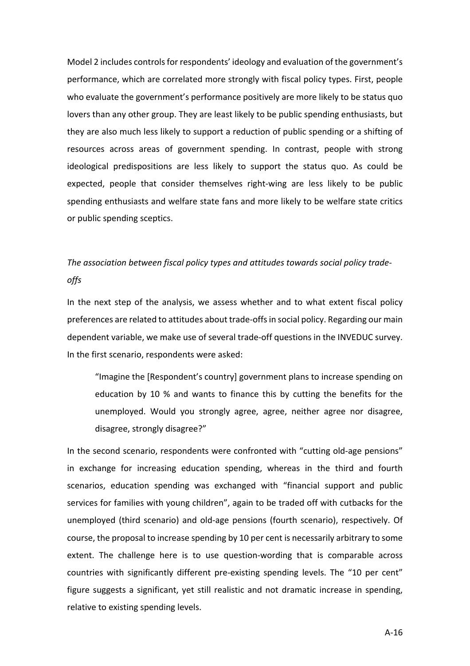Model 2 includes controls for respondents' ideology and evaluation of the government's performance, which are correlated more strongly with fiscal policy types. First, people who evaluate the government's performance positively are more likely to be status quo lovers than any other group. They are least likely to be public spending enthusiasts, but they are also much less likely to support a reduction of public spending or a shifting of resources across areas of government spending. In contrast, people with strong ideological predispositions are less likely to support the status quo. As could be expected, people that consider themselves right-wing are less likely to be public spending enthusiasts and welfare state fans and more likely to be welfare state critics or public spending sceptics.

# *The association between fiscal policy types and attitudes towards social policy tradeoffs*

In the next step of the analysis, we assess whether and to what extent fiscal policy preferences are related to attitudes about trade-offs in social policy. Regarding our main dependent variable, we make use of several trade-off questions in the INVEDUC survey. In the first scenario, respondents were asked:

"Imagine the [Respondent's country] government plans to increase spending on education by 10 % and wants to finance this by cutting the benefits for the unemployed. Would you strongly agree, agree, neither agree nor disagree, disagree, strongly disagree?"

In the second scenario, respondents were confronted with "cutting old-age pensions" in exchange for increasing education spending, whereas in the third and fourth scenarios, education spending was exchanged with "financial support and public services for families with young children", again to be traded off with cutbacks for the unemployed (third scenario) and old-age pensions (fourth scenario), respectively. Of course, the proposal to increase spending by 10 per cent is necessarily arbitrary to some extent. The challenge here is to use question-wording that is comparable across countries with significantly different pre-existing spending levels. The "10 per cent" figure suggests a significant, yet still realistic and not dramatic increase in spending, relative to existing spending levels.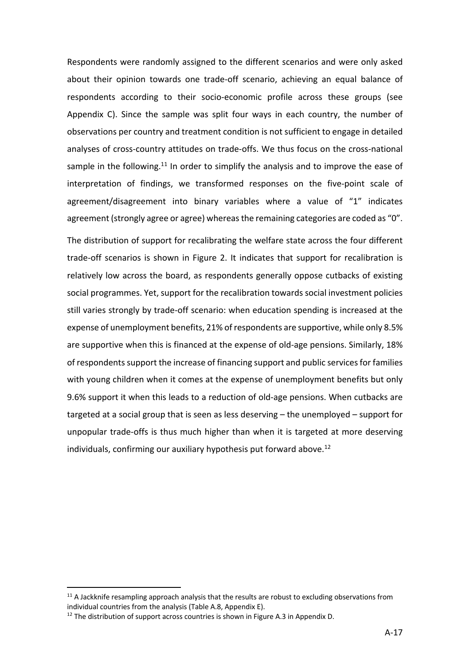Respondents were randomly assigned to the different scenarios and were only asked about their opinion towards one trade-off scenario, achieving an equal balance of respondents according to their socio-economic profile across these groups (see Appendix C). Since the sample was split four ways in each country, the number of observations per country and treatment condition is not sufficient to engage in detailed analyses of cross-country attitudes on trade-offs. We thus focus on the cross-national sample in the following.<sup>11</sup> In order to simplify the analysis and to improve the ease of interpretation of findings, we transformed responses on the five-point scale of agreement/disagreement into binary variables where a value of "1" indicates agreement (strongly agree or agree) whereas the remaining categories are coded as "0".

The distribution of support for recalibrating the welfare state across the four different trade-off scenarios is shown in Figure 2. It indicates that support for recalibration is relatively low across the board, as respondents generally oppose cutbacks of existing social programmes. Yet, support for the recalibration towards social investment policies still varies strongly by trade-off scenario: when education spending is increased at the expense of unemployment benefits, 21% of respondents are supportive, while only 8.5% are supportive when this is financed at the expense of old-age pensions. Similarly, 18% of respondents support the increase of financing support and public services for families with young children when it comes at the expense of unemployment benefits but only 9.6% support it when this leads to a reduction of old-age pensions. When cutbacks are targeted at a social group that is seen as less deserving – the unemployed – support for unpopular trade-offs is thus much higher than when it is targeted at more deserving individuals, confirming our auxiliary hypothesis put forward above. 12

 $11$  A Jackknife resampling approach analysis that the results are robust to excluding observations from individual countries from the analysis (Table A.8, Appendix E).<br><sup>12</sup> The distribution of support across countries is shown in Figure A.3 in Appendix D.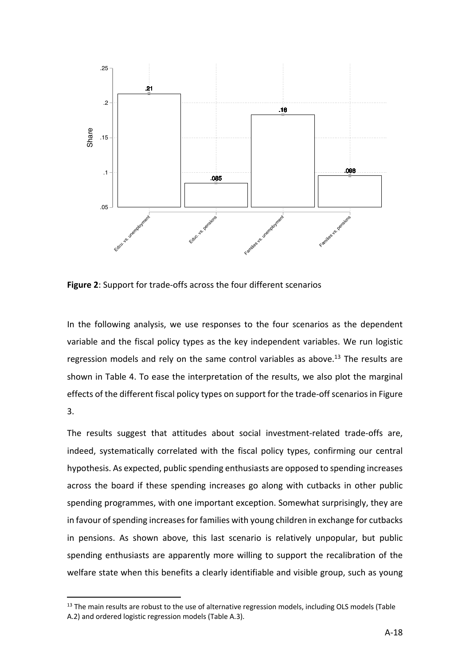

**Figure 2**: Support for trade-offs across the four different scenarios

In the following analysis, we use responses to the four scenarios as the dependent variable and the fiscal policy types as the key independent variables. We run logistic regression models and rely on the same control variables as above.<sup>13</sup> The results are shown in Table 4. To ease the interpretation of the results, we also plot the marginal effects of the different fiscal policy types on support for the trade-off scenarios in Figure 3.

The results suggest that attitudes about social investment-related trade-offs are, indeed, systematically correlated with the fiscal policy types, confirming our central hypothesis. As expected, public spending enthusiasts are opposed to spending increases across the board if these spending increases go along with cutbacks in other public spending programmes, with one important exception. Somewhat surprisingly, they are in favour of spending increases for families with young children in exchange for cutbacks in pensions. As shown above, this last scenario is relatively unpopular, but public spending enthusiasts are apparently more willing to support the recalibration of the welfare state when this benefits a clearly identifiable and visible group, such as young

<sup>&</sup>lt;sup>13</sup> The main results are robust to the use of alternative regression models, including OLS models (Table A.2) and ordered logistic regression models (Table A.3).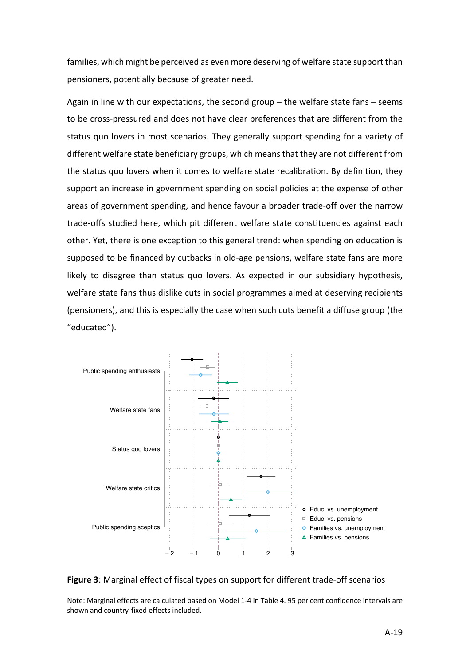families, which might be perceived as even more deserving of welfare state support than pensioners, potentially because of greater need.

Again in line with our expectations, the second group – the welfare state fans – seems to be cross-pressured and does not have clear preferences that are different from the status quo lovers in most scenarios. They generally support spending for a variety of different welfare state beneficiary groups, which means that they are not different from the status quo lovers when it comes to welfare state recalibration. By definition, they support an increase in government spending on social policies at the expense of other areas of government spending, and hence favour a broader trade-off over the narrow trade-offs studied here, which pit different welfare state constituencies against each other. Yet, there is one exception to this general trend: when spending on education is supposed to be financed by cutbacks in old-age pensions, welfare state fans are more likely to disagree than status quo lovers. As expected in our subsidiary hypothesis, welfare state fans thus dislike cuts in social programmes aimed at deserving recipients (pensioners), and this is especially the case when such cuts benefit a diffuse group (the "educated").





Note: Marginal effects are calculated based on Model 1-4 in Table 4. 95 per cent confidence intervals are shown and country-fixed effects included.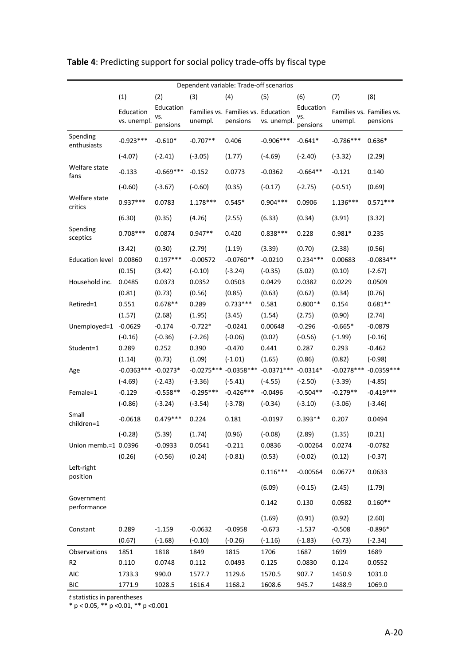| Dependent variable: Trade-off scenarios |                          |                              |             |                                                 |                                                   |                              |              |                                       |
|-----------------------------------------|--------------------------|------------------------------|-------------|-------------------------------------------------|---------------------------------------------------|------------------------------|--------------|---------------------------------------|
|                                         | (1)                      | (2)                          | (3)         | (4)                                             | (5)                                               | (6)                          | (7)          | (8)                                   |
|                                         | Education<br>vs. unempl. | Education<br>vs.<br>pensions | unempl.     | Families vs. Families vs. Education<br>pensions | vs. unempl.                                       | Education<br>VS.<br>pensions | unempl.      | Families vs. Families vs.<br>pensions |
| Spending<br>enthusiasts                 | $-0.923***$              | $-0.610*$                    | $-0.707**$  | 0.406                                           | $-0.906***$                                       | $-0.641*$                    | $-0.786***$  | $0.636*$                              |
|                                         | $(-4.07)$                | $(-2.41)$                    | $(-3.05)$   | (1.77)                                          | $(-4.69)$                                         | $(-2.40)$                    | $(-3.32)$    | (2.29)                                |
| Welfare state<br>fans                   | $-0.133$                 | $-0.669***$                  | $-0.152$    | 0.0773                                          | $-0.0362$                                         | $-0.664**$                   | $-0.121$     | 0.140                                 |
|                                         | $(-0.60)$                | $(-3.67)$                    | $(-0.60)$   | (0.35)                                          | $(-0.17)$                                         | $(-2.75)$                    | $(-0.51)$    | (0.69)                                |
| Welfare state<br>critics                | $0.937***$               | 0.0783                       | $1.178***$  | $0.545*$                                        | $0.904***$                                        | 0.0906                       | $1.136***$   | $0.571***$                            |
|                                         | (6.30)                   | (0.35)                       | (4.26)      | (2.55)                                          | (6.33)                                            | (0.34)                       | (3.91)       | (3.32)                                |
| Spending<br>sceptics                    | $0.708***$               | 0.0874                       | $0.947**$   | 0.420                                           | $0.838***$                                        | 0.228                        | $0.981*$     | 0.235                                 |
|                                         | (3.42)                   | (0.30)                       | (2.79)      | (1.19)                                          | (3.39)                                            | (0.70)                       | (2.38)       | (0.56)                                |
| <b>Education level</b>                  | 0.00860                  | $0.197***$                   | $-0.00572$  | $-0.0760**$                                     | $-0.0210$                                         | $0.234***$                   | 0.00683      | $-0.0834**$                           |
|                                         | (0.15)                   | (3.42)                       | $(-0.10)$   | $(-3.24)$                                       | $(-0.35)$                                         | (5.02)                       | (0.10)       | $(-2.67)$                             |
| Household inc.                          | 0.0485                   | 0.0373                       | 0.0352      | 0.0503                                          | 0.0429                                            | 0.0382                       | 0.0229       | 0.0509                                |
|                                         | (0.81)                   | (0.73)                       | (0.56)      | (0.85)                                          | (0.63)                                            | (0.62)                       | (0.34)       | (0.76)                                |
| Retired=1                               | 0.551                    | $0.678**$                    | 0.289       | $0.733***$                                      | 0.581                                             | $0.800**$                    | 0.154        | $0.681**$                             |
|                                         | (1.57)                   | (2.68)                       | (1.95)      | (3.45)                                          | (1.54)                                            | (2.75)                       | (0.90)       | (2.74)                                |
| Unemployed=1                            | $-0.0629$                | $-0.174$                     | $-0.722*$   | $-0.0241$                                       | 0.00648                                           | $-0.296$                     | $-0.665*$    | $-0.0879$                             |
|                                         | $(-0.16)$                | $(-0.36)$                    | $(-2.26)$   | $(-0.06)$                                       | (0.02)                                            | $(-0.56)$                    | $(-1.99)$    | $(-0.16)$                             |
| Student=1                               | 0.289                    | 0.252                        | 0.390       | $-0.470$                                        | 0.441                                             | 0.287                        | 0.293        | $-0.462$                              |
|                                         | (1.14)                   | (0.73)                       | (1.09)      | $(-1.01)$                                       | (1.65)                                            | (0.86)                       | (0.82)       | $(-0.98)$                             |
| Age                                     | $-0.0363***$ $-0.0273*$  |                              |             |                                                 | $-0.0275***$ $-0.0358***$ $-0.0371***$ $-0.0314*$ |                              | $-0.0278***$ | $-0.0359***$                          |
|                                         | $(-4.69)$                | $(-2.43)$                    | $(-3.36)$   | $(-5.41)$                                       | $(-4.55)$                                         | $(-2.50)$                    | $(-3.39)$    | $(-4.85)$                             |
| Female=1                                | $-0.129$                 | $-0.558**$                   | $-0.295***$ | $-0.426***$                                     | $-0.0496$                                         | $-0.504**$                   | $-0.279**$   | $-0.419***$                           |
|                                         | $(-0.86)$                | $(-3.24)$                    | $(-3.54)$   | $(-3.78)$                                       | $(-0.34)$                                         | $(-3.10)$                    | $(-3.06)$    | $(-3.46)$                             |
| Small<br>children=1                     | $-0.0618$                | $0.479***$                   | 0.224       | 0.181                                           | $-0.0197$                                         | $0.393**$                    | 0.207        | 0.0494                                |
|                                         | $(-0.28)$                | (5.39)                       | (1.74)      | (0.96)                                          | $(-0.08)$                                         | (2.89)                       | (1.35)       | (0.21)                                |
| Union memb.=1 0.0396                    |                          | $-0.0933$                    | 0.0541      | $-0.211$                                        | 0.0836                                            | $-0.00264$                   | 0.0274       | $-0.0782$                             |
|                                         | (0.26)                   | $(-0.56)$                    | (0.24)      | $(-0.81)$                                       | (0.53)                                            | $(-0.02)$                    | (0.12)       | $(-0.37)$                             |
| Left-right<br>position                  |                          |                              |             |                                                 | $0.116***$                                        | $-0.00564$                   | $0.0677*$    | 0.0633                                |
|                                         |                          |                              |             |                                                 | (6.09)                                            | $(-0.15)$                    | (2.45)       | (1.79)                                |
| Government<br>performance               |                          |                              |             |                                                 | 0.142                                             | 0.130                        | 0.0582       | $0.160**$                             |
|                                         |                          |                              |             |                                                 | (1.69)                                            | (0.91)                       | (0.92)       | (2.60)                                |
| Constant                                | 0.289                    | $-1.159$                     | $-0.0632$   | $-0.0958$                                       | $-0.673$                                          | $-1.537$                     | $-0.508$     | $-0.896*$                             |
|                                         | (0.67)                   | $(-1.68)$                    | $(-0.10)$   | $(-0.26)$                                       | $(-1.16)$                                         | $(-1.83)$                    | $(-0.73)$    | $(-2.34)$                             |
| Observations                            | 1851                     | 1818                         | 1849        | 1815                                            | 1706                                              | 1687                         | 1699         | 1689                                  |
| R <sub>2</sub>                          | 0.110                    | 0.0748                       | 0.112       | 0.0493                                          | 0.125                                             | 0.0830                       | 0.124        | 0.0552                                |
| AIC                                     | 1733.3                   | 990.0                        | 1577.7      | 1129.6                                          | 1570.5                                            | 907.7                        | 1450.9       | 1031.0                                |
| <b>BIC</b>                              | 1771.9                   | 1028.5                       | 1616.4      | 1168.2                                          | 1608.6                                            | 945.7                        | 1488.9       | 1069.0                                |

# **Table 4**: Predicting support for social policy trade-offs by fiscal type

*t* statistics in parentheses

\* p < 0.05, \*\* p <0.01, \*\* p <0.001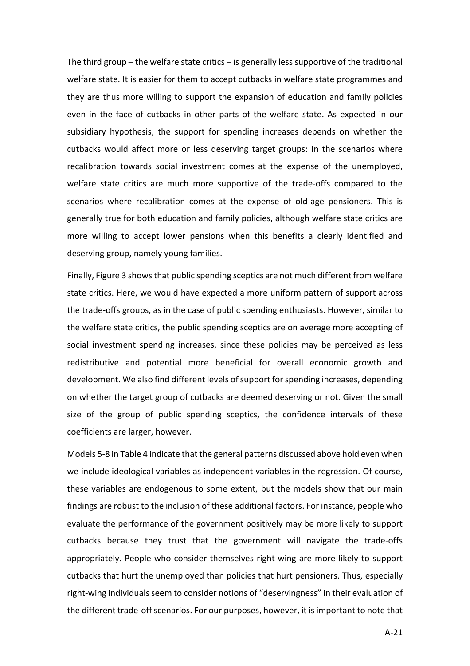The third group – the welfare state critics – is generally less supportive of the traditional welfare state. It is easier for them to accept cutbacks in welfare state programmes and they are thus more willing to support the expansion of education and family policies even in the face of cutbacks in other parts of the welfare state. As expected in our subsidiary hypothesis, the support for spending increases depends on whether the cutbacks would affect more or less deserving target groups: In the scenarios where recalibration towards social investment comes at the expense of the unemployed, welfare state critics are much more supportive of the trade-offs compared to the scenarios where recalibration comes at the expense of old-age pensioners. This is generally true for both education and family policies, although welfare state critics are more willing to accept lower pensions when this benefits a clearly identified and deserving group, namely young families.

Finally, Figure 3 shows that public spending sceptics are not much different from welfare state critics. Here, we would have expected a more uniform pattern of support across the trade-offs groups, as in the case of public spending enthusiasts. However, similar to the welfare state critics, the public spending sceptics are on average more accepting of social investment spending increases, since these policies may be perceived as less redistributive and potential more beneficial for overall economic growth and development. We also find different levels of support for spending increases, depending on whether the target group of cutbacks are deemed deserving or not. Given the small size of the group of public spending sceptics, the confidence intervals of these coefficients are larger, however.

Models 5-8 in Table 4 indicate that the general patterns discussed above hold even when we include ideological variables as independent variables in the regression. Of course, these variables are endogenous to some extent, but the models show that our main findings are robust to the inclusion of these additional factors. For instance, people who evaluate the performance of the government positively may be more likely to support cutbacks because they trust that the government will navigate the trade-offs appropriately. People who consider themselves right-wing are more likely to support cutbacks that hurt the unemployed than policies that hurt pensioners. Thus, especially right-wing individuals seem to consider notions of "deservingness" in their evaluation of the different trade-off scenarios. For our purposes, however, it is important to note that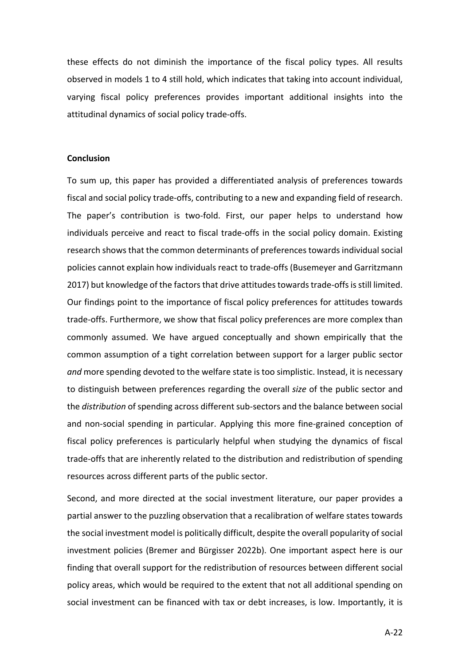these effects do not diminish the importance of the fiscal policy types. All results observed in models 1 to 4 still hold, which indicates that taking into account individual, varying fiscal policy preferences provides important additional insights into the attitudinal dynamics of social policy trade-offs.

#### **Conclusion**

To sum up, this paper has provided a differentiated analysis of preferences towards fiscal and social policy trade-offs, contributing to a new and expanding field of research. The paper's contribution is two-fold. First, our paper helps to understand how individuals perceive and react to fiscal trade-offs in the social policy domain. Existing research shows that the common determinants of preferences towards individual social policies cannot explain how individuals react to trade-offs (Busemeyer and Garritzmann 2017) but knowledge of the factors that drive attitudes towards trade-offsis still limited. Our findings point to the importance of fiscal policy preferences for attitudes towards trade-offs. Furthermore, we show that fiscal policy preferences are more complex than commonly assumed. We have argued conceptually and shown empirically that the common assumption of a tight correlation between support for a larger public sector *and* more spending devoted to the welfare state is too simplistic. Instead, it is necessary to distinguish between preferences regarding the overall *size* of the public sector and the *distribution* of spending across different sub-sectors and the balance between social and non-social spending in particular. Applying this more fine-grained conception of fiscal policy preferences is particularly helpful when studying the dynamics of fiscal trade-offs that are inherently related to the distribution and redistribution of spending resources across different parts of the public sector.

Second, and more directed at the social investment literature, our paper provides a partial answer to the puzzling observation that a recalibration of welfare states towards the social investment model is politically difficult, despite the overall popularity of social investment policies (Bremer and Bürgisser 2022b). One important aspect here is our finding that overall support for the redistribution of resources between different social policy areas, which would be required to the extent that not all additional spending on social investment can be financed with tax or debt increases, is low. Importantly, it is

A-22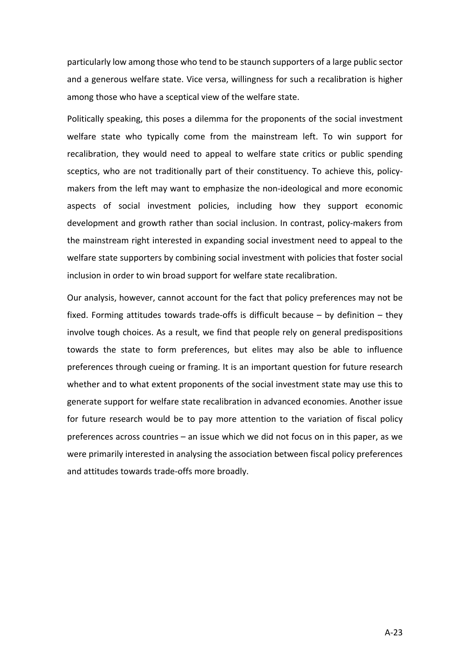particularly low among those who tend to be staunch supporters of a large public sector and a generous welfare state. Vice versa, willingness for such a recalibration is higher among those who have a sceptical view of the welfare state.

Politically speaking, this poses a dilemma for the proponents of the social investment welfare state who typically come from the mainstream left. To win support for recalibration, they would need to appeal to welfare state critics or public spending sceptics, who are not traditionally part of their constituency. To achieve this, policymakers from the left may want to emphasize the non-ideological and more economic aspects of social investment policies, including how they support economic development and growth rather than social inclusion. In contrast, policy-makers from the mainstream right interested in expanding social investment need to appeal to the welfare state supporters by combining social investment with policies that foster social inclusion in order to win broad support for welfare state recalibration.

Our analysis, however, cannot account for the fact that policy preferences may not be fixed. Forming attitudes towards trade-offs is difficult because – by definition – they involve tough choices. As a result, we find that people rely on general predispositions towards the state to form preferences, but elites may also be able to influence preferences through cueing or framing. It is an important question for future research whether and to what extent proponents of the social investment state may use this to generate support for welfare state recalibration in advanced economies. Another issue for future research would be to pay more attention to the variation of fiscal policy preferences across countries – an issue which we did not focus on in this paper, as we were primarily interested in analysing the association between fiscal policy preferences and attitudes towards trade-offs more broadly.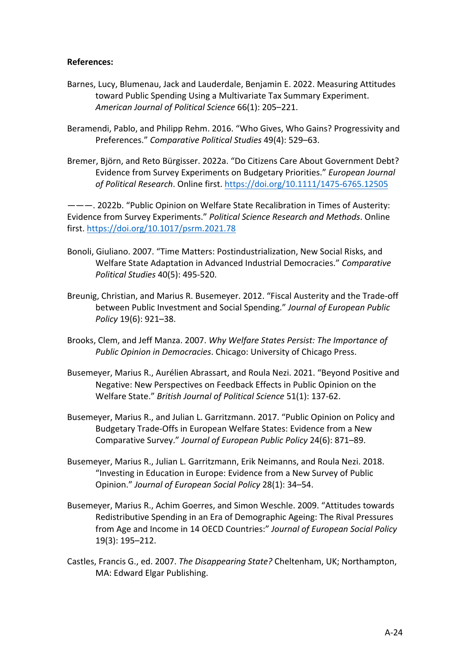## **References:**

- Barnes, Lucy, Blumenau, Jack and Lauderdale, Benjamin E. 2022. Measuring Attitudes toward Public Spending Using a Multivariate Tax Summary Experiment. *American Journal of Political Science* 66(1): 205–221.
- Beramendi, Pablo, and Philipp Rehm. 2016. "Who Gives, Who Gains? Progressivity and Preferences." *Comparative Political Studies* 49(4): 529–63.
- Bremer, Björn, and Reto Bürgisser. 2022a. "Do Citizens Care About Government Debt? Evidence from Survey Experiments on Budgetary Priorities." *European Journal of Political Research*. Online first. https://doi.org/10.1111/1475-6765.12505

———. 2022b. "Public Opinion on Welfare State Recalibration in Times of Austerity: Evidence from Survey Experiments." *Political Science Research and Methods*. Online first. https://doi.org/10.1017/psrm.2021.78

- Bonoli, Giuliano. 2007. "Time Matters: Postindustrialization, New Social Risks, and Welfare State Adaptation in Advanced Industrial Democracies." *Comparative Political Studies* 40(5): 495-520.
- Breunig, Christian, and Marius R. Busemeyer. 2012. "Fiscal Austerity and the Trade-off between Public Investment and Social Spending." *Journal of European Public Policy* 19(6): 921–38.
- Brooks, Clem, and Jeff Manza. 2007. *Why Welfare States Persist: The Importance of Public Opinion in Democracies*. Chicago: University of Chicago Press.
- Busemeyer, Marius R., Aurélien Abrassart, and Roula Nezi. 2021. "Beyond Positive and Negative: New Perspectives on Feedback Effects in Public Opinion on the Welfare State." *British Journal of Political Science* 51(1): 137-62.
- Busemeyer, Marius R., and Julian L. Garritzmann. 2017. "Public Opinion on Policy and Budgetary Trade-Offs in European Welfare States: Evidence from a New Comparative Survey." *Journal of European Public Policy* 24(6): 871–89.
- Busemeyer, Marius R., Julian L. Garritzmann, Erik Neimanns, and Roula Nezi. 2018. "Investing in Education in Europe: Evidence from a New Survey of Public Opinion." *Journal of European Social Policy* 28(1): 34–54.
- Busemeyer, Marius R., Achim Goerres, and Simon Weschle. 2009. "Attitudes towards Redistributive Spending in an Era of Demographic Ageing: The Rival Pressures from Age and Income in 14 OECD Countries:" *Journal of European Social Policy* 19(3): 195–212.
- Castles, Francis G., ed. 2007. *The Disappearing State?* Cheltenham, UK; Northampton, MA: Edward Elgar Publishing.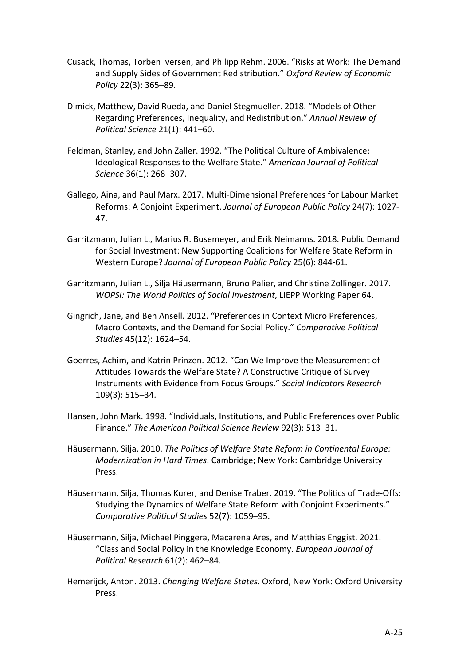- Cusack, Thomas, Torben Iversen, and Philipp Rehm. 2006. "Risks at Work: The Demand and Supply Sides of Government Redistribution." *Oxford Review of Economic Policy* 22(3): 365–89.
- Dimick, Matthew, David Rueda, and Daniel Stegmueller. 2018. "Models of Other-Regarding Preferences, Inequality, and Redistribution." *Annual Review of Political Science* 21(1): 441–60.
- Feldman, Stanley, and John Zaller. 1992. "The Political Culture of Ambivalence: Ideological Responses to the Welfare State." *American Journal of Political Science* 36(1): 268–307.
- Gallego, Aina, and Paul Marx. 2017. Multi-Dimensional Preferences for Labour Market Reforms: A Conjoint Experiment. *Journal of European Public Policy* 24(7): 1027- 47.
- Garritzmann, Julian L., Marius R. Busemeyer, and Erik Neimanns. 2018. Public Demand for Social Investment: New Supporting Coalitions for Welfare State Reform in Western Europe? *Journal of European Public Policy* 25(6): 844-61.
- Garritzmann, Julian L., Silja Häusermann, Bruno Palier, and Christine Zollinger. 2017. *WOPSI: The World Politics of Social Investment*, LIEPP Working Paper 64.
- Gingrich, Jane, and Ben Ansell. 2012. "Preferences in Context Micro Preferences, Macro Contexts, and the Demand for Social Policy." *Comparative Political Studies* 45(12): 1624–54.
- Goerres, Achim, and Katrin Prinzen. 2012. "Can We Improve the Measurement of Attitudes Towards the Welfare State? A Constructive Critique of Survey Instruments with Evidence from Focus Groups." *Social Indicators Research* 109(3): 515–34.
- Hansen, John Mark. 1998. "Individuals, Institutions, and Public Preferences over Public Finance." *The American Political Science Review* 92(3): 513–31.
- Häusermann, Silja. 2010. *The Politics of Welfare State Reform in Continental Europe: Modernization in Hard Times*. Cambridge; New York: Cambridge University Press.
- Häusermann, Silja, Thomas Kurer, and Denise Traber. 2019. "The Politics of Trade-Offs: Studying the Dynamics of Welfare State Reform with Conjoint Experiments." *Comparative Political Studies* 52(7): 1059–95.
- Häusermann, Silja, Michael Pinggera, Macarena Ares, and Matthias Enggist. 2021. "Class and Social Policy in the Knowledge Economy. *European Journal of Political Research* 61(2): 462–84.
- Hemerijck, Anton. 2013. *Changing Welfare States*. Oxford, New York: Oxford University Press.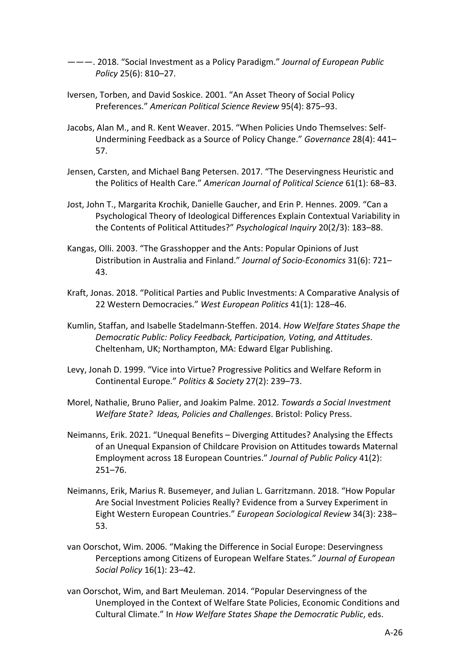———. 2018. "Social Investment as a Policy Paradigm." *Journal of European Public Policy* 25(6): 810–27.

- Iversen, Torben, and David Soskice. 2001. "An Asset Theory of Social Policy Preferences." *American Political Science Review* 95(4): 875–93.
- Jacobs, Alan M., and R. Kent Weaver. 2015. "When Policies Undo Themselves: Self-Undermining Feedback as a Source of Policy Change." *Governance* 28(4): 441– 57.
- Jensen, Carsten, and Michael Bang Petersen. 2017. "The Deservingness Heuristic and the Politics of Health Care." *American Journal of Political Science* 61(1): 68–83.
- Jost, John T., Margarita Krochik, Danielle Gaucher, and Erin P. Hennes. 2009. "Can a Psychological Theory of Ideological Differences Explain Contextual Variability in the Contents of Political Attitudes?" *Psychological Inquiry* 20(2/3): 183–88.
- Kangas, Olli. 2003. "The Grasshopper and the Ants: Popular Opinions of Just Distribution in Australia and Finland." *Journal of Socio-Economics* 31(6): 721– 43.
- Kraft, Jonas. 2018. "Political Parties and Public Investments: A Comparative Analysis of 22 Western Democracies." *West European Politics* 41(1): 128–46.
- Kumlin, Staffan, and Isabelle Stadelmann-Steffen. 2014. *How Welfare States Shape the Democratic Public: Policy Feedback, Participation, Voting, and Attitudes*. Cheltenham, UK; Northampton, MA: Edward Elgar Publishing.
- Levy, Jonah D. 1999. "Vice into Virtue? Progressive Politics and Welfare Reform in Continental Europe." *Politics & Society* 27(2): 239–73.
- Morel, Nathalie, Bruno Palier, and Joakim Palme. 2012. *Towards a Social Investment Welfare State? Ideas, Policies and Challenges*. Bristol: Policy Press.
- Neimanns, Erik. 2021. "Unequal Benefits Diverging Attitudes? Analysing the Effects of an Unequal Expansion of Childcare Provision on Attitudes towards Maternal Employment across 18 European Countries." *Journal of Public Policy* 41(2): 251–76.
- Neimanns, Erik, Marius R. Busemeyer, and Julian L. Garritzmann. 2018. "How Popular Are Social Investment Policies Really? Evidence from a Survey Experiment in Eight Western European Countries." *European Sociological Review* 34(3): 238– 53.
- van Oorschot, Wim. 2006. "Making the Difference in Social Europe: Deservingness Perceptions among Citizens of European Welfare States." *Journal of European Social Policy* 16(1): 23–42.
- van Oorschot, Wim, and Bart Meuleman. 2014. "Popular Deservingness of the Unemployed in the Context of Welfare State Policies, Economic Conditions and Cultural Climate." In *How Welfare States Shape the Democratic Public*, eds.